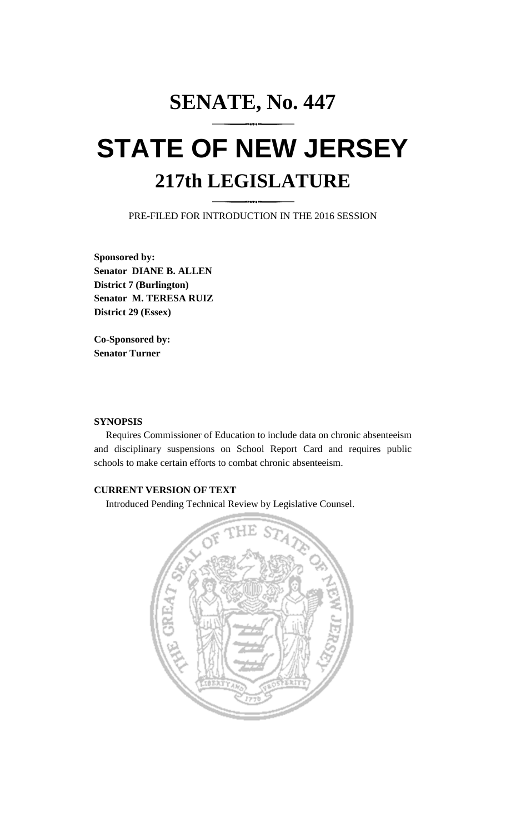# **SENATE, No. 447 STATE OF NEW JERSEY 217th LEGISLATURE**

PRE-FILED FOR INTRODUCTION IN THE 2016 SESSION

**Sponsored by: Senator DIANE B. ALLEN District 7 (Burlington) Senator M. TERESA RUIZ District 29 (Essex)**

**Co-Sponsored by: Senator Turner**

## **SYNOPSIS**

Requires Commissioner of Education to include data on chronic absenteeism and disciplinary suspensions on School Report Card and requires public schools to make certain efforts to combat chronic absenteeism.

## **CURRENT VERSION OF TEXT**

Introduced Pending Technical Review by Legislative Counsel.

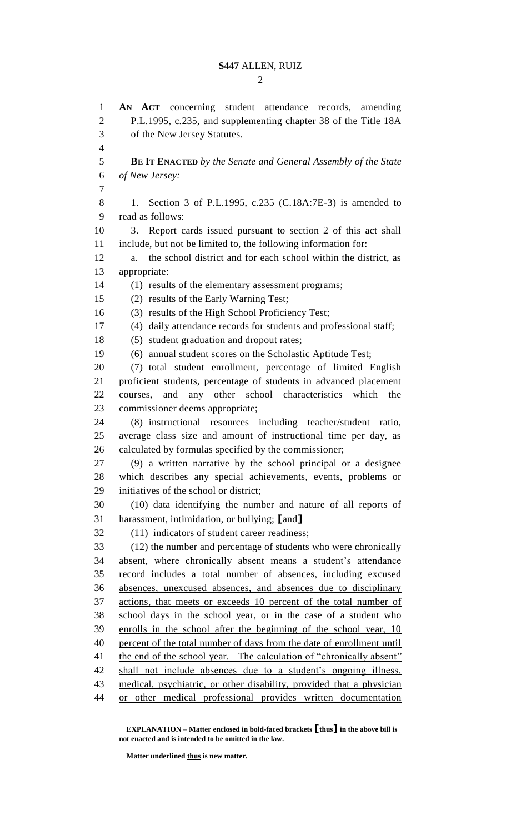$\mathcal{D}_{\mathcal{L}}$ 

 **AN ACT** concerning student attendance records, amending P.L.1995, c.235, and supplementing chapter 38 of the Title 18A of the New Jersey Statutes. **BE IT ENACTED** *by the Senate and General Assembly of the State of New Jersey:* 1. Section 3 of P.L.1995, c.235 (C.18A:7E-3) is amended to read as follows: 3. Report cards issued pursuant to section 2 of this act shall include, but not be limited to, the following information for: a. the school district and for each school within the district, as appropriate: (1) results of the elementary assessment programs; (2) results of the Early Warning Test; (3) results of the High School Proficiency Test; (4) daily attendance records for students and professional staff; (5) student graduation and dropout rates; (6) annual student scores on the Scholastic Aptitude Test; (7) total student enrollment, percentage of limited English proficient students, percentage of students in advanced placement courses, and any other school characteristics which the commissioner deems appropriate; (8) instructional resources including teacher/student ratio, average class size and amount of instructional time per day, as calculated by formulas specified by the commissioner; (9) a written narrative by the school principal or a designee which describes any special achievements, events, problems or initiatives of the school or district; (10) data identifying the number and nature of all reports of harassment, intimidation, or bullying; **[**and**]** (11) indicators of student career readiness; (12) the number and percentage of students who were chronically absent, where chronically absent means a student's attendance record includes a total number of absences, including excused absences, unexcused absences, and absences due to disciplinary actions, that meets or exceeds 10 percent of the total number of school days in the school year, or in the case of a student who enrolls in the school after the beginning of the school year, 10 percent of the total number of days from the date of enrollment until 41 the end of the school year. The calculation of "chronically absent" shall not include absences due to a student's ongoing illness, medical, psychiatric, or other disability, provided that a physician or other medical professional provides written documentation

**Matter underlined thus is new matter.**

**EXPLANATION – Matter enclosed in bold-faced brackets [thus] in the above bill is not enacted and is intended to be omitted in the law.**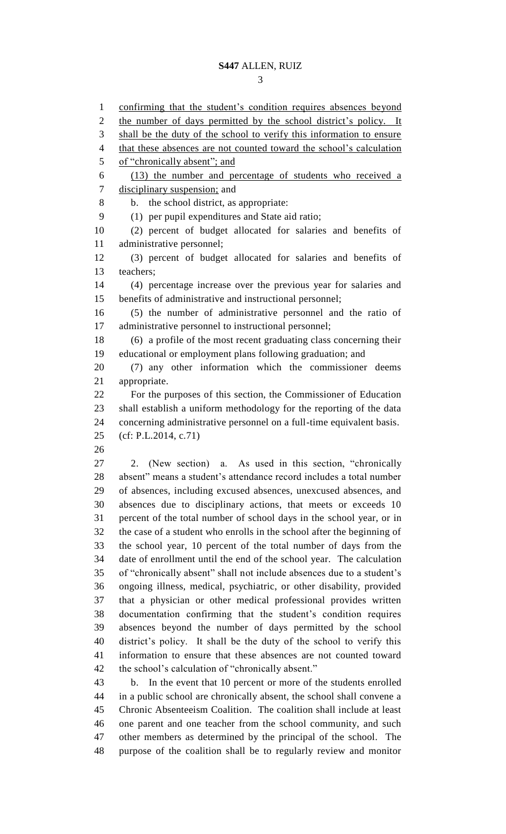confirming that the student's condition requires absences beyond 2 the number of days permitted by the school district's policy. It 3 shall be the duty of the school to verify this information to ensure 4 that these absences are not counted toward the school's calculation of "chronically absent"; and (13) the number and percentage of students who received a disciplinary suspension; and b. the school district, as appropriate: (1) per pupil expenditures and State aid ratio; (2) percent of budget allocated for salaries and benefits of administrative personnel; (3) percent of budget allocated for salaries and benefits of teachers; (4) percentage increase over the previous year for salaries and benefits of administrative and instructional personnel; (5) the number of administrative personnel and the ratio of administrative personnel to instructional personnel; (6) a profile of the most recent graduating class concerning their educational or employment plans following graduation; and (7) any other information which the commissioner deems appropriate. For the purposes of this section, the Commissioner of Education shall establish a uniform methodology for the reporting of the data concerning administrative personnel on a full-time equivalent basis. (cf: P.L.2014, c.71) 2. (New section) a. As used in this section, "chronically absent" means a student's attendance record includes a total number of absences, including excused absences, unexcused absences, and absences due to disciplinary actions, that meets or exceeds 10 percent of the total number of school days in the school year, or in the case of a student who enrolls in the school after the beginning of the school year, 10 percent of the total number of days from the date of enrollment until the end of the school year. The calculation of "chronically absent" shall not include absences due to a student's ongoing illness, medical, psychiatric, or other disability, provided that a physician or other medical professional provides written documentation confirming that the student's condition requires absences beyond the number of days permitted by the school district's policy. It shall be the duty of the school to verify this information to ensure that these absences are not counted toward the school's calculation of "chronically absent." b. In the event that 10 percent or more of the students enrolled in a public school are chronically absent, the school shall convene a Chronic Absenteeism Coalition. The coalition shall include at least one parent and one teacher from the school community, and such other members as determined by the principal of the school. The purpose of the coalition shall be to regularly review and monitor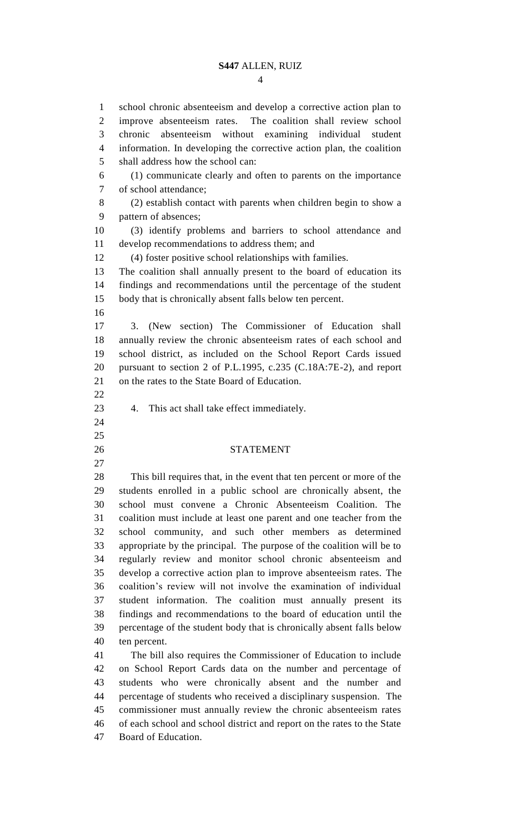### **S447** ALLEN, RUIZ

 school chronic absenteeism and develop a corrective action plan to improve absenteeism rates. The coalition shall review school chronic absenteeism without examining individual student information. In developing the corrective action plan, the coalition shall address how the school can: (1) communicate clearly and often to parents on the importance of school attendance; (2) establish contact with parents when children begin to show a pattern of absences; (3) identify problems and barriers to school attendance and develop recommendations to address them; and (4) foster positive school relationships with families. The coalition shall annually present to the board of education its findings and recommendations until the percentage of the student body that is chronically absent falls below ten percent. 3. (New section) The Commissioner of Education shall annually review the chronic absenteeism rates of each school and school district, as included on the School Report Cards issued pursuant to section 2 of P.L.1995, c.235 (C.18A:7E-2), and report on the rates to the State Board of Education. 4. This act shall take effect immediately. STATEMENT This bill requires that, in the event that ten percent or more of the students enrolled in a public school are chronically absent, the school must convene a Chronic Absenteeism Coalition. The coalition must include at least one parent and one teacher from the school community, and such other members as determined appropriate by the principal. The purpose of the coalition will be to regularly review and monitor school chronic absenteeism and develop a corrective action plan to improve absenteeism rates. The coalition's review will not involve the examination of individual student information. The coalition must annually present its findings and recommendations to the board of education until the percentage of the student body that is chronically absent falls below ten percent. The bill also requires the Commissioner of Education to include on School Report Cards data on the number and percentage of students who were chronically absent and the number and percentage of students who received a disciplinary suspension. The commissioner must annually review the chronic absenteeism rates of each school and school district and report on the rates to the State Board of Education.